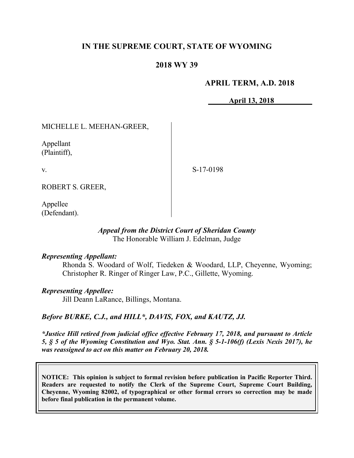# **IN THE SUPREME COURT, STATE OF WYOMING**

## **2018 WY 39**

## **APRIL TERM, A.D. 2018**

**April 13, 2018**

MICHELLE L. MEEHAN-GREER,

Appellant (Plaintiff),

v.

S-17-0198

ROBERT S. GREER,

Appellee (Defendant).

#### *Appeal from the District Court of Sheridan County* The Honorable William J. Edelman, Judge

### *Representing Appellant:*

Rhonda S. Woodard of Wolf, Tiedeken & Woodard, LLP, Cheyenne, Wyoming; Christopher R. Ringer of Ringer Law, P.C., Gillette, Wyoming.

### *Representing Appellee:*

Jill Deann LaRance, Billings, Montana.

### *Before BURKE, C.J., and HILL\*, DAVIS, FOX, and KAUTZ, JJ.*

*\*Justice Hill retired from judicial office effective February 17, 2018, and pursuant to Article 5, § 5 of the Wyoming Constitution and Wyo. Stat. Ann. § 5-1-106(f) (Lexis Nexis 2017), he was reassigned to act on this matter on February 20, 2018.*

**NOTICE: This opinion is subject to formal revision before publication in Pacific Reporter Third. Readers are requested to notify the Clerk of the Supreme Court, Supreme Court Building, Cheyenne, Wyoming 82002, of typographical or other formal errors so correction may be made before final publication in the permanent volume.**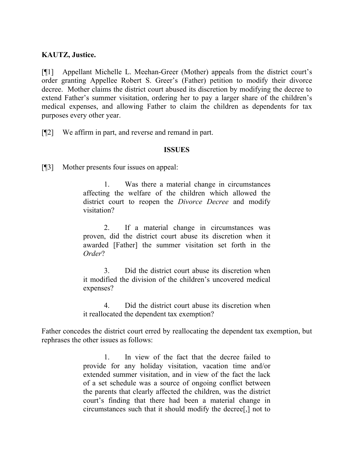## **KAUTZ, Justice.**

[¶1] Appellant Michelle L. Meehan-Greer (Mother) appeals from the district court's order granting Appellee Robert S. Greer's (Father) petition to modify their divorce decree. Mother claims the district court abused its discretion by modifying the decree to extend Father's summer visitation, ordering her to pay a larger share of the children's medical expenses, and allowing Father to claim the children as dependents for tax purposes every other year.

[¶2] We affirm in part, and reverse and remand in part.

### **ISSUES**

[¶3] Mother presents four issues on appeal:

1. Was there a material change in circumstances affecting the welfare of the children which allowed the district court to reopen the *Divorce Decree* and modify visitation?

2. If a material change in circumstances was proven, did the district court abuse its discretion when it awarded [Father] the summer visitation set forth in the *Order*?

3. Did the district court abuse its discretion when it modified the division of the children's uncovered medical expenses?

4. Did the district court abuse its discretion when it reallocated the dependent tax exemption?

Father concedes the district court erred by reallocating the dependent tax exemption, but rephrases the other issues as follows:

> 1. In view of the fact that the decree failed to provide for any holiday visitation, vacation time and/or extended summer visitation, and in view of the fact the lack of a set schedule was a source of ongoing conflict between the parents that clearly affected the children, was the district court's finding that there had been a material change in circumstances such that it should modify the decree[,] not to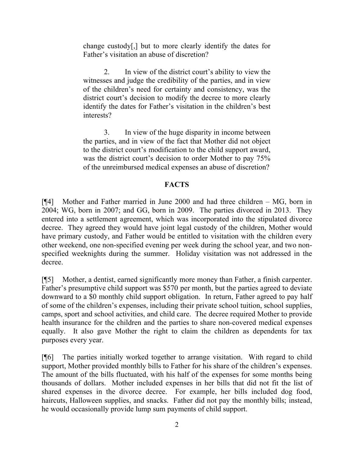change custody[,] but to more clearly identify the dates for Father's visitation an abuse of discretion?

2. In view of the district court's ability to view the witnesses and judge the credibility of the parties, and in view of the children's need for certainty and consistency, was the district court's decision to modify the decree to more clearly identify the dates for Father's visitation in the children's best interests?

3. In view of the huge disparity in income between the parties, and in view of the fact that Mother did not object to the district court's modification to the child support award, was the district court's decision to order Mother to pay 75% of the unreimbursed medical expenses an abuse of discretion?

## **FACTS**

[¶4] Mother and Father married in June 2000 and had three children – MG, born in 2004; WG, born in 2007; and GG, born in 2009. The parties divorced in 2013. They entered into a settlement agreement, which was incorporated into the stipulated divorce decree. They agreed they would have joint legal custody of the children, Mother would have primary custody, and Father would be entitled to visitation with the children every other weekend, one non-specified evening per week during the school year, and two nonspecified weeknights during the summer. Holiday visitation was not addressed in the decree.

[¶5] Mother, a dentist, earned significantly more money than Father, a finish carpenter. Father's presumptive child support was \$570 per month, but the parties agreed to deviate downward to a \$0 monthly child support obligation. In return, Father agreed to pay half of some of the children's expenses, including their private school tuition, school supplies, camps, sport and school activities, and child care. The decree required Mother to provide health insurance for the children and the parties to share non-covered medical expenses equally. It also gave Mother the right to claim the children as dependents for tax purposes every year.

[¶6] The parties initially worked together to arrange visitation. With regard to child support, Mother provided monthly bills to Father for his share of the children's expenses. The amount of the bills fluctuated, with his half of the expenses for some months being thousands of dollars. Mother included expenses in her bills that did not fit the list of shared expenses in the divorce decree. For example, her bills included dog food, haircuts, Halloween supplies, and snacks. Father did not pay the monthly bills; instead, he would occasionally provide lump sum payments of child support.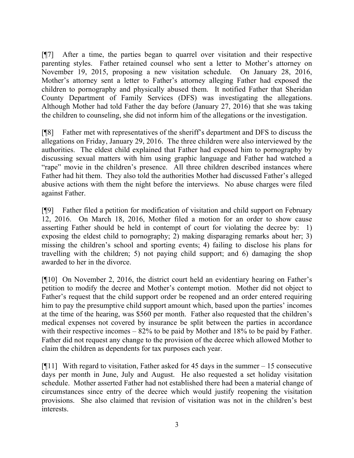[¶7] After a time, the parties began to quarrel over visitation and their respective parenting styles. Father retained counsel who sent a letter to Mother's attorney on November 19, 2015, proposing a new visitation schedule. On January 28, 2016, Mother's attorney sent a letter to Father's attorney alleging Father had exposed the children to pornography and physically abused them. It notified Father that Sheridan County Department of Family Services (DFS) was investigating the allegations. Although Mother had told Father the day before (January 27, 2016) that she was taking the children to counseling, she did not inform him of the allegations or the investigation.

[¶8] Father met with representatives of the sheriff's department and DFS to discuss the allegations on Friday, January 29, 2016. The three children were also interviewed by the authorities. The eldest child explained that Father had exposed him to pornography by discussing sexual matters with him using graphic language and Father had watched a "rape" movie in the children's presence. All three children described instances where Father had hit them. They also told the authorities Mother had discussed Father's alleged abusive actions with them the night before the interviews. No abuse charges were filed against Father.

[¶9] Father filed a petition for modification of visitation and child support on February 12, 2016. On March 18, 2016, Mother filed a motion for an order to show cause asserting Father should be held in contempt of court for violating the decree by: 1) exposing the eldest child to pornography; 2) making disparaging remarks about her; 3) missing the children's school and sporting events; 4) failing to disclose his plans for travelling with the children; 5) not paying child support; and 6) damaging the shop awarded to her in the divorce.

[¶10] On November 2, 2016, the district court held an evidentiary hearing on Father's petition to modify the decree and Mother's contempt motion. Mother did not object to Father's request that the child support order be reopened and an order entered requiring him to pay the presumptive child support amount which, based upon the parties' incomes at the time of the hearing, was \$560 per month. Father also requested that the children's medical expenses not covered by insurance be split between the parties in accordance with their respective incomes – 82% to be paid by Mother and 18% to be paid by Father. Father did not request any change to the provision of the decree which allowed Mother to claim the children as dependents for tax purposes each year.

[ $[$ [11] With regard to visitation, Father asked for 45 days in the summer – 15 consecutive days per month in June, July and August. He also requested a set holiday visitation schedule. Mother asserted Father had not established there had been a material change of circumstances since entry of the decree which would justify reopening the visitation provisions. She also claimed that revision of visitation was not in the children's best interests.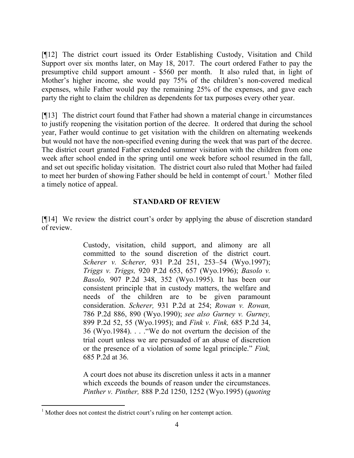[¶12] The district court issued its Order Establishing Custody, Visitation and Child Support over six months later, on May 18, 2017. The court ordered Father to pay the presumptive child support amount - \$560 per month. It also ruled that, in light of Mother's higher income, she would pay 75% of the children's non-covered medical expenses, while Father would pay the remaining 25% of the expenses, and gave each party the right to claim the children as dependents for tax purposes every other year.

[¶13] The district court found that Father had shown a material change in circumstances to justify reopening the visitation portion of the decree. It ordered that during the school year, Father would continue to get visitation with the children on alternating weekends but would not have the non-specified evening during the week that was part of the decree. The district court granted Father extended summer visitation with the children from one week after school ended in the spring until one week before school resumed in the fall, and set out specific holiday visitation. The district court also ruled that Mother had failed to meet her burden of showing Father should be held in contempt of court.<sup>1</sup> Mother filed a timely notice of appeal.

### **STANDARD OF REVIEW**

[¶14] We review the district court's order by applying the abuse of discretion standard of review.

> Custody, visitation, child support, and alimony are all committed to the sound discretion of the district court. *Scherer v. Scherer,* 931 P.2d 251, 253–54 (Wyo.1997); *Triggs v. Triggs,* 920 P.2d 653, 657 (Wyo.1996); *Basolo v. Basolo,* 907 P.2d 348, 352 (Wyo.1995). It has been our consistent principle that in custody matters, the welfare and needs of the children are to be given paramount consideration. *Scherer,* 931 P.2d at 254; *Rowan v. Rowan,* 786 P.2d 886, 890 (Wyo.1990); *see also Gurney v. Gurney,* 899 P.2d 52, 55 (Wyo.1995); and *Fink v. Fink,* 685 P.2d 34, 36 (Wyo.1984). . . ."We do not overturn the decision of the trial court unless we are persuaded of an abuse of discretion or the presence of a violation of some legal principle." *Fink,* 685 P.2d at 36.

> A court does not abuse its discretion unless it acts in a manner which exceeds the bounds of reason under the circumstances. *Pinther v. Pinther,* 888 P.2d 1250, 1252 (Wyo.1995) (*quoting*

l

<sup>&</sup>lt;sup>1</sup> Mother does not contest the district court's ruling on her contempt action.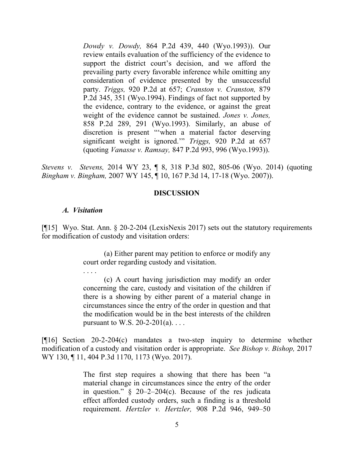*Dowdy v. Dowdy,* 864 P.2d 439, 440 (Wyo.1993)). Our review entails evaluation of the sufficiency of the evidence to support the district court's decision, and we afford the prevailing party every favorable inference while omitting any consideration of evidence presented by the unsuccessful party. *Triggs,* 920 P.2d at 657; *Cranston v. Cranston,* 879 P.2d 345, 351 (Wyo.1994). Findings of fact not supported by the evidence, contrary to the evidence, or against the great weight of the evidence cannot be sustained. *Jones v. Jones,* 858 P.2d 289, 291 (Wyo.1993). Similarly, an abuse of discretion is present "'when a material factor deserving significant weight is ignored.'" *Triggs,* 920 P.2d at 657 (quoting *Vanasse v. Ramsay,* 847 P.2d 993, 996 (Wyo.1993)).

*Stevens v. Stevens,* 2014 WY 23, ¶ 8, 318 P.3d 802, 805-06 (Wyo. 2014) (quoting *Bingham v. Bingham,* 2007 WY 145, ¶ 10, 167 P.3d 14, 17-18 (Wyo. 2007)).

### **DISCUSSION**

### *A. Visitation*

. . . .

[¶15] Wyo. Stat. Ann. § 20-2-204 (LexisNexis 2017) sets out the statutory requirements for modification of custody and visitation orders:

> (a) Either parent may petition to enforce or modify any court order regarding custody and visitation.

> (c) A court having jurisdiction may modify an order concerning the care, custody and visitation of the children if there is a showing by either parent of a material change in circumstances since the entry of the order in question and that the modification would be in the best interests of the children pursuant to W.S.  $20-2-201(a)$ ...

[¶16] Section 20-2-204(c) mandates a two-step inquiry to determine whether modification of a custody and visitation order is appropriate. *See Bishop v. Bishop,* 2017 WY 130, ¶ 11, 404 P.3d 1170, 1173 (Wyo. 2017).

> The first step requires a showing that there has been "a material change in circumstances since the entry of the order in question."  $\S$  20–2–204(c). Because of the res judicata effect afforded custody orders, such a finding is a threshold requirement. *Hertzler v. Hertzler,* 908 P.2d 946, 949–50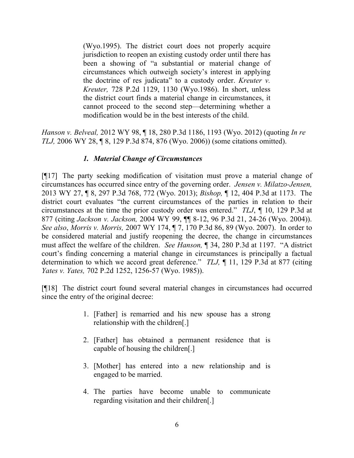(Wyo.1995). The district court does not properly acquire jurisdiction to reopen an existing custody order until there has been a showing of "a substantial or material change of circumstances which outweigh society's interest in applying the doctrine of res judicata" to a custody order. *Kreuter v. Kreuter,* 728 P.2d 1129, 1130 (Wyo.1986). In short, unless the district court finds a material change in circumstances, it cannot proceed to the second step—determining whether a modification would be in the best interests of the child.

*Hanson v. Belveal,* 2012 WY 98, ¶ 18, 280 P.3d 1186, 1193 (Wyo. 2012) (quoting *In re TLJ,* 2006 WY 28, ¶ 8, 129 P.3d 874, 876 (Wyo. 2006)) (some citations omitted).

# *1. Material Change of Circumstances*

[¶17] The party seeking modification of visitation must prove a material change of circumstances has occurred since entry of the governing order. *Jensen v. Milatzo-Jensen,*  2013 WY 27, ¶ 8, 297 P.3d 768, 772 (Wyo. 2013); *Bishop,* ¶ 12, 404 P.3d at 1173. The district court evaluates "the current circumstances of the parties in relation to their circumstances at the time the prior custody order was entered." *TLJ*, *¶* 10, 129 P.3d at 877 (citing *Jackson v. Jackson,* 2004 WY 99, ¶¶ 8-12, 96 P.3d 21, 24-26 (Wyo. 2004)). *See also*, *Morris v. Morris,* 2007 WY 174, ¶ 7, 170 P.3d 86, 89 (Wyo. 2007). In order to be considered material and justify reopening the decree, the change in circumstances must affect the welfare of the children. *See Hanson,* ¶ 34, 280 P.3d at 1197. "A district court's finding concerning a material change in circumstances is principally a factual determination to which we accord great deference." *TLJ,* ¶ 11, 129 P.3d at 877 (citing *Yates v. Yates,* 702 P.2d 1252, 1256-57 (Wyo. 1985)).

[¶18] The district court found several material changes in circumstances had occurred since the entry of the original decree:

- 1. [Father] is remarried and his new spouse has a strong relationship with the children[.]
- 2. [Father] has obtained a permanent residence that is capable of housing the children[.]
- 3. [Mother] has entered into a new relationship and is engaged to be married.
- 4. The parties have become unable to communicate regarding visitation and their children[.]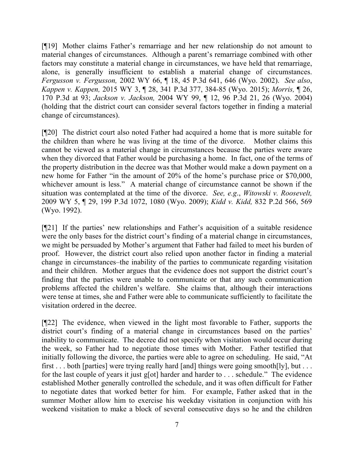[¶19] Mother claims Father's remarriage and her new relationship do not amount to material changes of circumstances. Although a parent's remarriage combined with other factors may constitute a material change in circumstances, we have held that remarriage, alone, is generally insufficient to establish a material change of circumstances. *Fergusson v. Fergusson,* 2002 WY 66, ¶ 18, 45 P.3d 641, 646 (Wyo. 2002). *See also*, *Kappen v. Kappen,* 2015 WY 3, ¶ 28, 341 P.3d 377, 384-85 (Wyo. 2015); *Morris,* ¶ 26, 170 P.3d at 93; *Jackson v. Jackson,* 2004 WY 99, ¶ 12, 96 P.3d 21, 26 (Wyo. 2004) (holding that the district court can consider several factors together in finding a material change of circumstances).

[¶20] The district court also noted Father had acquired a home that is more suitable for the children than where he was living at the time of the divorce. Mother claims this cannot be viewed as a material change in circumstances because the parties were aware when they divorced that Father would be purchasing a home. In fact, one of the terms of the property distribution in the decree was that Mother would make a down payment on a new home for Father "in the amount of 20% of the home's purchase price or \$70,000, whichever amount is less." A material change of circumstance cannot be shown if the situation was contemplated at the time of the divorce. *See, e.g*., *Witowski v. Roosevelt,*  2009 WY 5, ¶ 29, 199 P.3d 1072, 1080 (Wyo. 2009); *Kidd v. Kidd,* 832 P.2d 566, 569 (Wyo. 1992).

[¶21] If the parties' new relationships and Father's acquisition of a suitable residence were the only bases for the district court's finding of a material change in circumstances, we might be persuaded by Mother's argument that Father had failed to meet his burden of proof. However, the district court also relied upon another factor in finding a material change in circumstances–the inability of the parties to communicate regarding visitation and their children. Mother argues that the evidence does not support the district court's finding that the parties were unable to communicate or that any such communication problems affected the children's welfare. She claims that, although their interactions were tense at times, she and Father were able to communicate sufficiently to facilitate the visitation ordered in the decree.

[¶22] The evidence, when viewed in the light most favorable to Father, supports the district court's finding of a material change in circumstances based on the parties' inability to communicate. The decree did not specify when visitation would occur during the week, so Father had to negotiate those times with Mother. Father testified that initially following the divorce, the parties were able to agree on scheduling. He said, "At first . . . both [parties] were trying really hard [and] things were going smooth[ly], but . . . for the last couple of years it just g[ot] harder and harder to . . . schedule." The evidence established Mother generally controlled the schedule, and it was often difficult for Father to negotiate dates that worked better for him. For example, Father asked that in the summer Mother allow him to exercise his weekday visitation in conjunction with his weekend visitation to make a block of several consecutive days so he and the children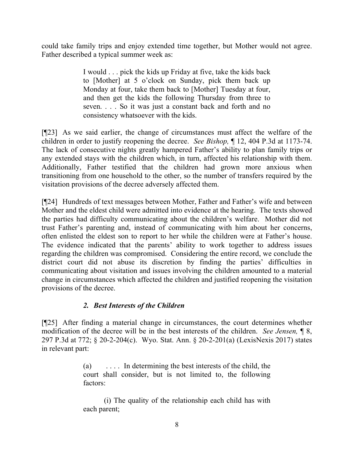could take family trips and enjoy extended time together, but Mother would not agree. Father described a typical summer week as:

> I would . . . pick the kids up Friday at five, take the kids back to [Mother] at 5 o'clock on Sunday, pick them back up Monday at four, take them back to [Mother] Tuesday at four, and then get the kids the following Thursday from three to seven. . . . So it was just a constant back and forth and no consistency whatsoever with the kids.

[¶23] As we said earlier, the change of circumstances must affect the welfare of the children in order to justify reopening the decree. *See Bishop,* ¶ 12, 404 P.3d at 1173-74. The lack of consecutive nights greatly hampered Father's ability to plan family trips or any extended stays with the children which, in turn, affected his relationship with them. Additionally, Father testified that the children had grown more anxious when transitioning from one household to the other, so the number of transfers required by the visitation provisions of the decree adversely affected them.

[¶24] Hundreds of text messages between Mother, Father and Father's wife and between Mother and the eldest child were admitted into evidence at the hearing. The texts showed the parties had difficulty communicating about the children's welfare. Mother did not trust Father's parenting and, instead of communicating with him about her concerns, often enlisted the eldest son to report to her while the children were at Father's house. The evidence indicated that the parents' ability to work together to address issues regarding the children was compromised. Considering the entire record, we conclude the district court did not abuse its discretion by finding the parties' difficulties in communicating about visitation and issues involving the children amounted to a material change in circumstances which affected the children and justified reopening the visitation provisions of the decree.

# *2. Best Interests of the Children*

[¶25] After finding a material change in circumstances, the court determines whether modification of the decree will be in the best interests of the children. *See Jensen,* ¶ 8, 297 P.3d at 772; § 20-2-204(c). Wyo. Stat. Ann. § 20-2-201(a) (LexisNexis 2017) states in relevant part:

> (a) . . . . In determining the best interests of the child, the court shall consider, but is not limited to, the following factors:

> (i) The quality of the relationship each child has with each parent;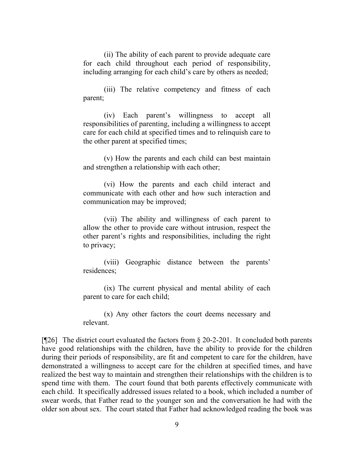(ii) The ability of each parent to provide adequate care for each child throughout each period of responsibility, including arranging for each child's care by others as needed;

(iii) The relative competency and fitness of each parent;

(iv) Each parent's willingness to accept all responsibilities of parenting, including a willingness to accept care for each child at specified times and to relinquish care to the other parent at specified times;

(v) How the parents and each child can best maintain and strengthen a relationship with each other;

(vi) How the parents and each child interact and communicate with each other and how such interaction and communication may be improved;

(vii) The ability and willingness of each parent to allow the other to provide care without intrusion, respect the other parent's rights and responsibilities, including the right to privacy;

(viii) Geographic distance between the parents' residences;

(ix) The current physical and mental ability of each parent to care for each child;

(x) Any other factors the court deems necessary and relevant.

[ $[26]$ ] The district court evaluated the factors from § 20-2-201. It concluded both parents have good relationships with the children, have the ability to provide for the children during their periods of responsibility, are fit and competent to care for the children, have demonstrated a willingness to accept care for the children at specified times, and have realized the best way to maintain and strengthen their relationships with the children is to spend time with them. The court found that both parents effectively communicate with each child. It specifically addressed issues related to a book, which included a number of swear words, that Father read to the younger son and the conversation he had with the older son about sex. The court stated that Father had acknowledged reading the book was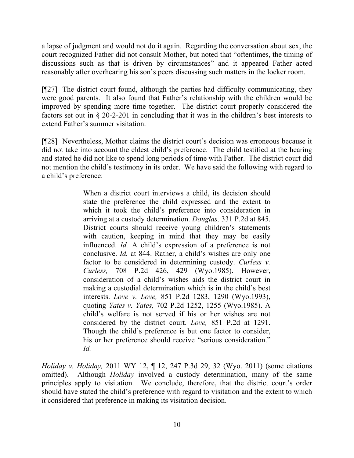a lapse of judgment and would not do it again. Regarding the conversation about sex, the court recognized Father did not consult Mother, but noted that "oftentimes, the timing of discussions such as that is driven by circumstances" and it appeared Father acted reasonably after overhearing his son's peers discussing such matters in the locker room.

[¶27] The district court found, although the parties had difficulty communicating, they were good parents. It also found that Father's relationship with the children would be improved by spending more time together. The district court properly considered the factors set out in § 20-2-201 in concluding that it was in the children's best interests to extend Father's summer visitation.

[¶28] Nevertheless, Mother claims the district court's decision was erroneous because it did not take into account the eldest child's preference. The child testified at the hearing and stated he did not like to spend long periods of time with Father. The district court did not mention the child's testimony in its order. We have said the following with regard to a child's preference:

> When a district court interviews a child, its decision should state the preference the child expressed and the extent to which it took the child's preference into consideration in arriving at a custody determination. *Douglas,* 331 P.2d at 845. District courts should receive young children's statements with caution, keeping in mind that they may be easily influenced. *Id.* A child's expression of a preference is not conclusive. *Id.* at 844. Rather, a child's wishes are only one factor to be considered in determining custody. *Curless v. Curless,* 708 P.2d 426, 429 (Wyo.1985). However, consideration of a child's wishes aids the district court in making a custodial determination which is in the child's best interests. *Love v. Love,* 851 P.2d 1283, 1290 (Wyo.1993), quoting *Yates v. Yates,* 702 P.2d 1252, 1255 (Wyo.1985). A child's welfare is not served if his or her wishes are not considered by the district court. *Love,* 851 P.2d at 1291. Though the child's preference is but one factor to consider, his or her preference should receive "serious consideration." *Id.*

*Holiday v. Holiday,* 2011 WY 12, ¶ 12, 247 P.3d 29, 32 (Wyo. 2011) (some citations omitted). Although *Holiday* involved a custody determination, many of the same principles apply to visitation. We conclude, therefore, that the district court's order should have stated the child's preference with regard to visitation and the extent to which it considered that preference in making its visitation decision.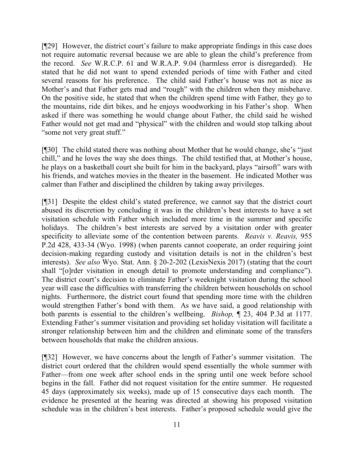[¶29] However, the district court's failure to make appropriate findings in this case does not require automatic reversal because we are able to glean the child's preference from the record. *See* W.R.C.P. 61 and W.R.A.P. 9.04 (harmless error is disregarded). He stated that he did not want to spend extended periods of time with Father and cited several reasons for his preference. The child said Father's house was not as nice as Mother's and that Father gets mad and "rough" with the children when they misbehave. On the positive side, he stated that when the children spend time with Father, they go to the mountains, ride dirt bikes, and he enjoys woodworking in his Father's shop. When asked if there was something he would change about Father, the child said he wished Father would not get mad and "physical" with the children and would stop talking about "some not very great stuff."

[¶30] The child stated there was nothing about Mother that he would change, she's "just chill," and he loves the way she does things. The child testified that, at Mother's house, he plays on a basketball court she built for him in the backyard, plays "airsoft" wars with his friends, and watches movies in the theater in the basement. He indicated Mother was calmer than Father and disciplined the children by taking away privileges.

[¶31] Despite the eldest child's stated preference, we cannot say that the district court abused its discretion by concluding it was in the children's best interests to have a set visitation schedule with Father which included more time in the summer and specific holidays. The children's best interests are served by a visitation order with greater specificity to alleviate some of the contention between parents. *Reavis v. Reavis,* 955 P.2d 428, 433-34 (Wyo. 1998) (when parents cannot cooperate, an order requiring joint decision-making regarding custody and visitation details is not in the children's best interests). *See also* Wyo. Stat. Ann. § 20-2-202 (LexisNexis 2017) (stating that the court shall "[o]rder visitation in enough detail to promote understanding and compliance"). The district court's decision to eliminate Father's weeknight visitation during the school year will ease the difficulties with transferring the children between households on school nights. Furthermore, the district court found that spending more time with the children would strengthen Father's bond with them. As we have said, a good relationship with both parents is essential to the children's wellbeing. *Bishop,* ¶ 23, 404 P.3d at 1177. Extending Father's summer visitation and providing set holiday visitation will facilitate a stronger relationship between him and the children and eliminate some of the transfers between households that make the children anxious.

[¶32] However, we have concerns about the length of Father's summer visitation. The district court ordered that the children would spend essentially the whole summer with Father—from one week after school ends in the spring until one week before school begins in the fall. Father did not request visitation for the entire summer. He requested 45 days (approximately six weeks), made up of 15 consecutive days each month. The evidence he presented at the hearing was directed at showing his proposed visitation schedule was in the children's best interests. Father's proposed schedule would give the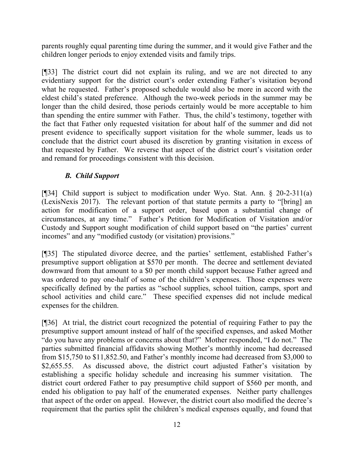parents roughly equal parenting time during the summer, and it would give Father and the children longer periods to enjoy extended visits and family trips.

[¶33] The district court did not explain its ruling, and we are not directed to any evidentiary support for the district court's order extending Father's visitation beyond what he requested. Father's proposed schedule would also be more in accord with the eldest child's stated preference. Although the two-week periods in the summer may be longer than the child desired, those periods certainly would be more acceptable to him than spending the entire summer with Father. Thus, the child's testimony, together with the fact that Father only requested visitation for about half of the summer and did not present evidence to specifically support visitation for the whole summer, leads us to conclude that the district court abused its discretion by granting visitation in excess of that requested by Father. We reverse that aspect of the district court's visitation order and remand for proceedings consistent with this decision.

# *B. Child Support*

[¶34] Child support is subject to modification under Wyo. Stat. Ann. § 20-2-311(a) (LexisNexis 2017). The relevant portion of that statute permits a party to "[bring] an action for modification of a support order, based upon a substantial change of circumstances, at any time." Father's Petition for Modification of Visitation and/or Custody and Support sought modification of child support based on "the parties' current incomes" and any "modified custody (or visitation) provisions."

[¶35] The stipulated divorce decree, and the parties' settlement, established Father's presumptive support obligation at \$570 per month. The decree and settlement deviated downward from that amount to a \$0 per month child support because Father agreed and was ordered to pay one-half of some of the children's expenses. Those expenses were specifically defined by the parties as "school supplies, school tuition, camps, sport and school activities and child care." These specified expenses did not include medical expenses for the children.

[¶36] At trial, the district court recognized the potential of requiring Father to pay the presumptive support amount instead of half of the specified expenses, and asked Mother "do you have any problems or concerns about that?" Mother responded, "I do not." The parties submitted financial affidavits showing Mother's monthly income had decreased from \$15,750 to \$11,852.50, and Father's monthly income had decreased from \$3,000 to \$2,655.55. As discussed above, the district court adjusted Father's visitation by establishing a specific holiday schedule and increasing his summer visitation. The district court ordered Father to pay presumptive child support of \$560 per month, and ended his obligation to pay half of the enumerated expenses. Neither party challenges that aspect of the order on appeal. However, the district court also modified the decree's requirement that the parties split the children's medical expenses equally, and found that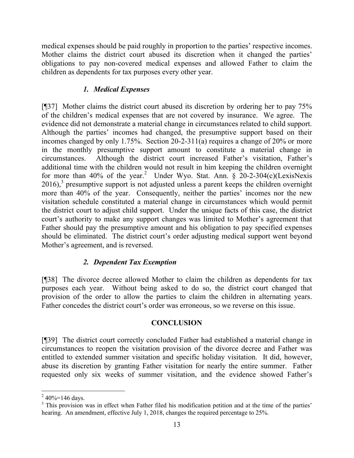medical expenses should be paid roughly in proportion to the parties' respective incomes. Mother claims the district court abused its discretion when it changed the parties' obligations to pay non-covered medical expenses and allowed Father to claim the children as dependents for tax purposes every other year.

## *1. Medical Expenses*

[¶37] Mother claims the district court abused its discretion by ordering her to pay 75% of the children's medical expenses that are not covered by insurance. We agree. The evidence did not demonstrate a material change in circumstances related to child support. Although the parties' incomes had changed, the presumptive support based on their incomes changed by only 1.75%. Section 20-2-311(a) requires a change of 20% or more in the monthly presumptive support amount to constitute a material change in circumstances. Although the district court increased Father's visitation, Father's additional time with the children would not result in him keeping the children overnight for more than 40% of the year.<sup>2</sup> Under Wyo. Stat. Ann.  $\S$  20-2-304(c)(LexisNexis  $2016$ ,<sup>3</sup> presumptive support is not adjusted unless a parent keeps the children overnight more than 40% of the year. Consequently, neither the parties' incomes nor the new visitation schedule constituted a material change in circumstances which would permit the district court to adjust child support. Under the unique facts of this case, the district court's authority to make any support changes was limited to Mother's agreement that Father should pay the presumptive amount and his obligation to pay specified expenses should be eliminated. The district court's order adjusting medical support went beyond Mother's agreement, and is reversed.

# *2. Dependent Tax Exemption*

[¶38] The divorce decree allowed Mother to claim the children as dependents for tax purposes each year. Without being asked to do so, the district court changed that provision of the order to allow the parties to claim the children in alternating years. Father concedes the district court's order was erroneous, so we reverse on this issue.

## **CONCLUSION**

[¶39] The district court correctly concluded Father had established a material change in circumstances to reopen the visitation provision of the divorce decree and Father was entitled to extended summer visitation and specific holiday visitation. It did, however, abuse its discretion by granting Father visitation for nearly the entire summer. Father requested only six weeks of summer visitation, and the evidence showed Father's

l

 $240\% = 146$  days.

<sup>&</sup>lt;sup>3</sup> This provision was in effect when Father filed his modification petition and at the time of the parties' hearing. An amendment, effective July 1, 2018, changes the required percentage to 25%.